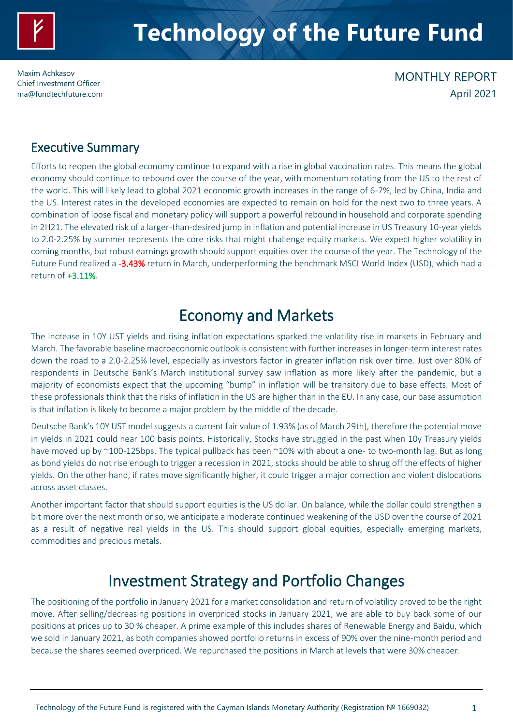

# **Technology of the Future Fund**

Maxim Achkasov Chief Investment Officer [ma@fundtechfuture.com](mailto:ma@achkasov.com)

### MONTHLY REPORT April 2021

### Executive Summary

Efforts to reopen the global economy continue to expand with a rise in global vaccination rates. This means the global economy should continue to rebound over the course of the year, with momentum rotating from the US to the rest of the world. This will likely lead to global 2021 economic growth increases in the range of 6-7%, led by China, India and the US. Interest rates in the developed economies are expected to remain on hold for the next two to three years. A combination of loose fiscal and monetary policy will support a powerful rebound in household and corporate spending in 2H21. The elevated risk of a larger-than-desired jump in inflation and potential increase in US Treasury 10-year yields to 2.0-2.25% by summer represents the core risks that might challenge equity markets. We expect higher volatility in coming months, but robust earnings growth should support equities over the course of the year. The Technology of the Future Fund realized a -3.43% return in March, underperforming the benchmark MSCI World Index (USD), which had a return of +3.11%.

### Economy and Markets

The increase in 10Y UST yields and rising inflation expectations sparked the volatility rise in markets in February and March. The favorable baseline macroeconomic outlook is consistent with further increases in longer-term interest rates down the road to a 2.0-2.25% level, especially as investors factor in greater inflation risk over time. Just over 80% of respondents in Deutsche Bank's March institutional survey saw inflation as more likely after the pandemic, but a majority of economists expect that the upcoming "bump" in inflation will be transitory due to base effects. Most of these professionals think that the risks of inflation in the US are higher than in the EU. In any case, our base assumption is that inflation is likely to become a major problem by the middle of the decade.

Deutsche Bank's 10Y UST model suggests a current fair value of 1.93% (as of March 29th), therefore the potential move in yields in 2021 could near 100 basis points. Historically, Stocks have struggled in the past when 10y Treasury yields have moved up by ~100-125bps. The typical pullback has been ~10% with about a one- to two-month lag. But as long as bond yields do not rise enough to trigger a recession in 2021, stocks should be able to shrug off the effects of higher yields. On the other hand, if rates move significantly higher, it could trigger a major correction and violent dislocations across asset classes.

Another important factor that should support equities is the US dollar. On balance, while the dollar could strengthen a bit more over the next month or so, we anticipate a moderate continued weakening of the USD over the course of 2021 as a result of negative real yields in the US. This should support global equities, especially emerging markets, commodities and precious metals.

### Investment Strategy and Portfolio Changes

The positioning of the portfolio in January 2021 for a market consolidation and return of volatility proved to be the right move. After selling/decreasing positions in overpriced stocks in January 2021, we are able to buy back some of our positions at prices up to 30 % cheaper. A prime example of this includes shares of Renewable Energy and Baidu, which we sold in January 2021, as both companies showed portfolio returns in excess of 90% over the nine-month period and because the shares seemed overpriced. We repurchased the positions in March at levels that were 30% cheaper.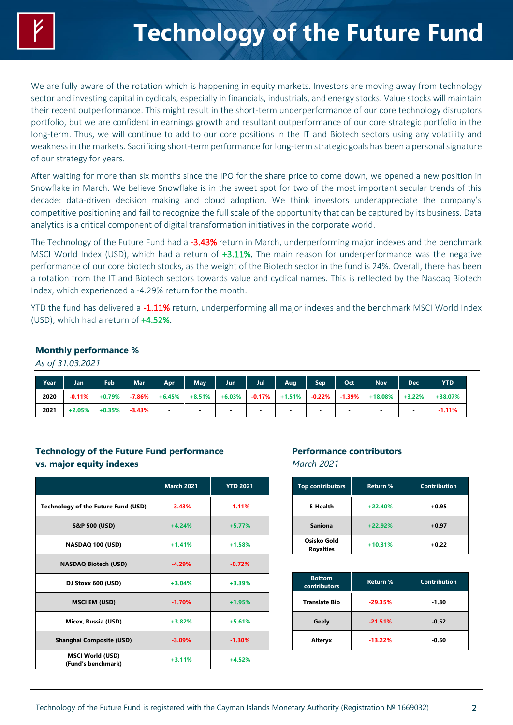We are fully aware of the rotation which is happening in equity markets. Investors are moving away from technology sector and investing capital in cyclicals, especially in financials, industrials, and energy stocks. Value stocks will maintain their recent outperformance. This might result in the short-term underperformance of our core technology disruptors portfolio, but we are confident in earnings growth and resultant outperformance of our core strategic portfolio in the long-term. Thus, we will continue to add to our core positions in the IT and Biotech sectors using any volatility and weakness in the markets. Sacrificing short-term performance for long-term strategic goals has been a personal signature of our strategy for years.

After waiting for more than six months since the IPO for the share price to come down, we opened a new position in Snowflake in March. We believe Snowflake is in the sweet spot for two of the most important secular trends of this decade: data-driven decision making and cloud adoption. We think investors underappreciate the company's competitive positioning and fail to recognize the full scale of the opportunity that can be captured by its business. Data analytics is a critical component of digital transformation initiatives in the corporate world.

The Technology of the Future Fund had a -3.43% return in March, underperforming major indexes and the benchmark MSCI World Index (USD), which had a return of +3.11%. The main reason for underperformance was the negative performance of our core biotech stocks, as the weight of the Biotech sector in the fund is 24%. Overall, there has been a rotation from the IT and Biotech sectors towards value and cyclical names. This is reflected by the Nasdaq Biotech Index, which experienced a -4.29% return for the month.

YTD the fund has delivered a -1.11% return, underperforming all major indexes and the benchmark MSCI World Index (USD), which had a return of +4.52%.

#### **Monthly performance %**

*As of 31.03.2021*

| Year | Jan      | Feb      | Mar <sup>1</sup> | Apr      | <b>May</b>               | Jun                      | Jul | Aug              | <b>Sep</b>               | Oct       | <b>Nov</b> | <b>Dec</b> | <b>YTD</b> |
|------|----------|----------|------------------|----------|--------------------------|--------------------------|-----|------------------|--------------------------|-----------|------------|------------|------------|
| 2020 | $-0.11%$ | +0.79%   | $-7.86\%$        | $+6.45%$ | $+8.51%$                 | $+6.03\%$                |     | $-0.17\%$ +1.51% | $-0.22\%$                | $-1.39\%$ | $+18.08\%$ | $+3.22%$   | $+38.07%$  |
| 2021 | $+2.05%$ | $+0.35%$ | $-3.43%$         |          | $\overline{\phantom{a}}$ | $\overline{\phantom{a}}$ |     |                  | $\overline{\phantom{a}}$ |           |            |            | $-1.11%$   |

### **Technology of the Future Fund performance vs. major equity indexes**

|                                               | <b>March 2021</b> | <b>YTD 2021</b> |
|-----------------------------------------------|-------------------|-----------------|
| <b>Technology of the Future Fund (USD)</b>    | $-3.43%$          | $-1.11%$        |
| S&P 500 (USD)                                 | $+4.24%$          | $+5.77%$        |
| NASDAQ 100 (USD)                              | $+1.41%$          | $+1.58%$        |
| <b>NASDAQ Biotech (USD)</b>                   | $-4.29%$          | $-0.72%$        |
| DJ Stoxx 600 (USD)                            | $+3.04%$          | $+3.39%$        |
| <b>MSCI EM (USD)</b>                          | $-1.70%$          | $+1.95%$        |
| Micex, Russia (USD)                           | $+3.82%$          | $+5.61%$        |
| <b>Shanghai Composite (USD)</b>               | $-3.09%$          | $-1.30%$        |
| <b>MSCI World (USD)</b><br>(Fund's benchmark) | $+3.11%$          | $+4.52%$        |

### **Performance contributors**

*March 2021*

| <b>Top contributors</b>         | <b>Return %</b> | <b>Contribution</b> |
|---------------------------------|-----------------|---------------------|
| E-Health                        | $+22.40%$       | $+0.95$             |
| <b>Saniona</b>                  | $+22.92%$       | $+0.97$             |
| Osisko Gold<br><b>Royalties</b> | $+10.31%$       | $+0.22$             |

| <b>Bottom</b><br><b>contributors</b> | <b>Return %</b> | <b>Contribution</b> |
|--------------------------------------|-----------------|---------------------|
| <b>Translate Bio</b>                 | $-29.35%$       | $-1.30$             |
| Geely                                | $-21.51%$       | $-0.52$             |
| Alteryx                              | $-13.22%$       | $-0.50$             |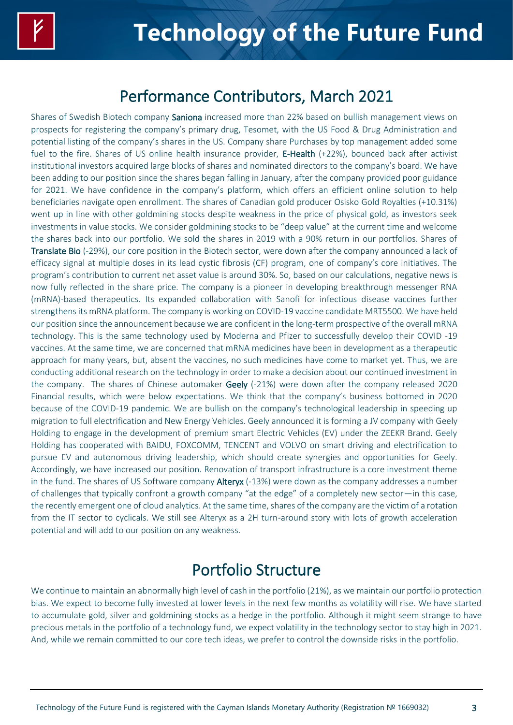### Performance Contributors, March 2021

Shares of Swedish Biotech company Saniona increased more than 22% based on bullish management views on prospects for registering the company's primary drug, Tesomet, with the US Food & Drug Administration and potential listing of the company's shares in the US. Company share Purchases by top management added some fuel to the fire. Shares of US online health insurance provider, E-Health (+22%), bounced back after activist institutional investors acquired large blocks of shares and nominated directors to the company's board. We have been adding to our position since the shares began falling in January, after the company provided poor guidance for 2021. We have confidence in the company's platform, which offers an efficient online solution to help beneficiaries navigate open enrollment. The shares of Canadian gold producer Osisko Gold Royalties (+10.31%) went up in line with other goldmining stocks despite weakness in the price of physical gold, as investors seek investments in value stocks. We consider goldmining stocks to be "deep value" at the current time and welcome the shares back into our portfolio. We sold the shares in 2019 with a 90% return in our portfolios. Shares of Translate Bio (-29%), our core position in the Biotech sector, were down after the company announced a lack of efficacy signal at multiple doses in its lead cystic fibrosis (CF) program, one of company's core initiatives. The program's contribution to current net asset value is around 30%. So, based on our calculations, negative news is now fully reflected in the share price. The company is a pioneer in developing breakthrough messenger RNA (mRNA)-based therapeutics. Its expanded collaboration with Sanofi for infectious disease vaccines further strengthens its mRNA platform. The company is working on COVID-19 vaccine candidate MRT5500. We have held our position since the announcement because we are confident in the long-term prospective of the overall mRNA technology. This is the same technology used by Moderna and Pfizer to successfully develop their COVID -19 vaccines. At the same time, we are concerned that mRNA medicines have been in development as a therapeutic approach for many years, but, absent the vaccines, no such medicines have come to market yet. Thus, we are conducting additional research on the technology in order to make a decision about our continued investment in the company. The shares of Chinese automaker Geely (-21%) were down after the company released 2020 Financial results, which were below expectations. We think that the company's business bottomed in 2020 because of the COVID-19 pandemic. We are bullish on the company's technological leadership in speeding up migration to full electrification and New Energy Vehicles. Geely announced it is forming a JV company with Geely Holding to engage in the development of premium smart Electric Vehicles (EV) under the ZEEKR Brand. Geely Holding has cooperated with BAIDU, FOXCOMM, TENCENT and VOLVO on smart driving and electrification to pursue EV and autonomous driving leadership, which should create synergies and opportunities for Geely. Accordingly, we have increased our position. Renovation of transport infrastructure is a core investment theme in the fund. The shares of US Software company Alteryx (-13%) were down as the company addresses a number of challenges that typically confront a growth company "at the edge" of a completely new sector—in this case, the recently emergent one of cloud analytics. At the same time, shares of the company are the victim of a rotation from the IT sector to cyclicals. We still see Alteryx as a 2H turn-around story with lots of growth acceleration potential and will add to our position on any weakness.

## Portfolio Structure

We continue to maintain an abnormally high level of cash in the portfolio (21%), as we maintain our portfolio protection bias. We expect to become fully invested at lower levels in the next few months as volatility will rise. We have started to accumulate gold, silver and goldmining stocks as a hedge in the portfolio. Although it might seem strange to have precious metals in the portfolio of a technology fund, we expect volatility in the technology sector to stay high in 2021. And, while we remain committed to our core tech ideas, we prefer to control the downside risks in the portfolio.